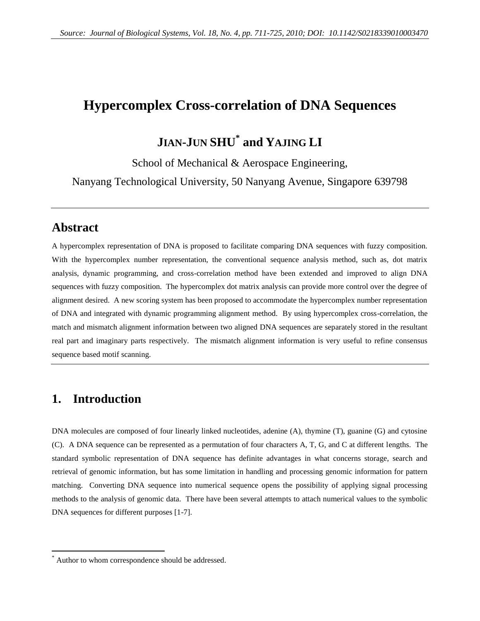# **Hypercomplex Cross-correlation of DNA Sequences**

# **JIAN-JUN SHU\* and YAJING LI**

School of Mechanical & Aerospace Engineering,

Nanyang Technological University, 50 Nanyang Avenue, Singapore 639798

## **Abstract**

A hypercomplex representation of DNA is proposed to facilitate comparing DNA sequences with fuzzy composition. With the hypercomplex number representation, the conventional sequence analysis method, such as, dot matrix analysis, dynamic programming, and cross-correlation method have been extended and improved to align DNA sequences with fuzzy composition. The hypercomplex dot matrix analysis can provide more control over the degree of alignment desired. A new scoring system has been proposed to accommodate the hypercomplex number representation of DNA and integrated with dynamic programming alignment method. By using hypercomplex cross-correlation, the match and mismatch alignment information between two aligned DNA sequences are separately stored in the resultant real part and imaginary parts respectively. The mismatch alignment information is very useful to refine consensus sequence based motif scanning.

## **1. Introduction**

 $\overline{a}$ 

DNA molecules are composed of four linearly linked nucleotides, adenine (A), thymine (T), guanine (G) and cytosine (C). A DNA sequence can be represented as a permutation of four characters A, T, G, and C at different lengths. The standard symbolic representation of DNA sequence has definite advantages in what concerns storage, search and retrieval of genomic information, but has some limitation in handling and processing genomic information for pattern matching. Converting DNA sequence into numerical sequence opens the possibility of applying signal processing methods to the analysis of genomic data. There have been several attempts to attach numerical values to the symbolic DNA sequences for different purposes [1-7].

Author to whom correspondence should be addressed.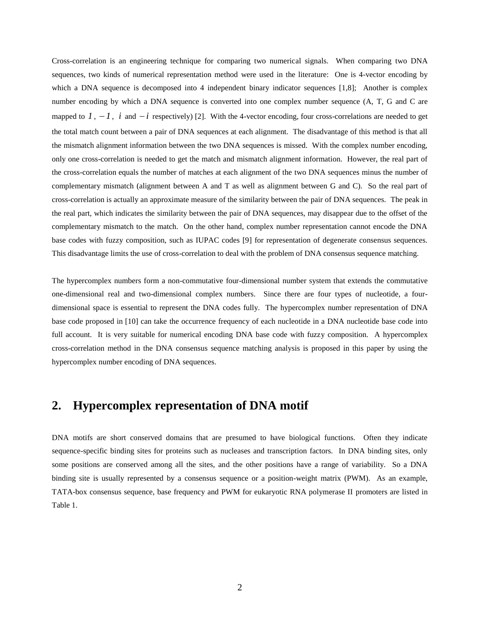Cross-correlation is an engineering technique for comparing two numerical signals. When comparing two DNA sequences, two kinds of numerical representation method were used in the literature: One is 4-vector encoding by which a DNA sequence is decomposed into 4 independent binary indicator sequences [1,8]; Another is complex number encoding by which a DNA sequence is converted into one complex number sequence (A, T, G and C are mapped to  $1, -1$ ,  $i$  and  $-i$  respectively) [2]. With the 4-vector encoding, four cross-correlations are needed to get the total match count between a pair of DNA sequences at each alignment. The disadvantage of this method is that all the mismatch alignment information between the two DNA sequences is missed. With the complex number encoding, only one cross-correlation is needed to get the match and mismatch alignment information. However, the real part of the cross-correlation equals the number of matches at each alignment of the two DNA sequences minus the number of complementary mismatch (alignment between A and T as well as alignment between G and C). So the real part of cross-correlation is actually an approximate measure of the similarity between the pair of DNA sequences. The peak in the real part, which indicates the similarity between the pair of DNA sequences, may disappear due to the offset of the complementary mismatch to the match. On the other hand, complex number representation cannot encode the DNA base codes with fuzzy composition, such as IUPAC codes [9] for representation of degenerate consensus sequences. This disadvantage limits the use of cross-correlation to deal with the problem of DNA consensus sequence matching.

The hypercomplex numbers form a [non-commutative](http://en.wikipedia.org/wiki/Noncommutative) four[-dimensional](http://en.wikipedia.org/wiki/Dimension_(linear_algebra)) number system that extends the [commutative](http://en.wikipedia.org/wiki/Noncommutative) one[-dimensional](http://en.wikipedia.org/wiki/Dimension_(linear_algebra)) real and two[-dimensional](http://en.wikipedia.org/wiki/Dimension_(linear_algebra)) [complex numbers.](http://en.wikipedia.org/wiki/Complex_number) Since there are four types of nucleotide, a fourdimensional space is essential to represent the DNA codes fully. The hypercomplex number representation of DNA base code proposed in [10] can take the occurrence frequency of each nucleotide in a DNA nucleotide base code into full account. It is very suitable for numerical encoding DNA base code with fuzzy composition. A hypercomplex cross-correlation method in the DNA consensus sequence matching analysis is proposed in this paper by using the hypercomplex number encoding of DNA sequences.

## **2. Hypercomplex representation of DNA motif**

DNA motifs are short conserved domains that are presumed to have biological functions. Often they indicate sequence-specific binding sites for proteins such as nucleases and transcription factors. In DNA binding sites, only some positions are conserved among all the sites, and the other positions have a range of variability. So a DNA binding site is usually represented by a consensus sequence or a position-weight matrix (PWM). As an example, TATA-box consensus sequence, base frequency and PWM for eukaryotic RNA polymerase II promoters are listed in Table 1.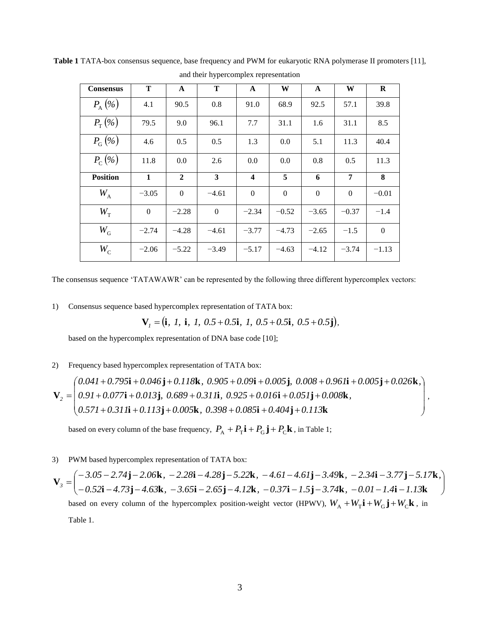| <b>Consensus</b> | T            | $\mathbf A$    | T            | A                       | W              | $\mathbf{A}$   | W              | R            |
|------------------|--------------|----------------|--------------|-------------------------|----------------|----------------|----------------|--------------|
| $P_{\rm A}$ (%)  | 4.1          | 90.5           | 0.8          | 91.0                    | 68.9           | 92.5           | 57.1           | 39.8         |
| $P_{\rm T}$ (%)  | 79.5         | 9.0            | 96.1         | 7.7                     | 31.1           | 1.6            | 31.1           | 8.5          |
| $P_{\rm G}(\%)$  | 4.6          | 0.5            | 0.5          | 1.3                     | 0.0            | 5.1            | 11.3           | 40.4         |
| $P_{\rm C}$ (%)  | 11.8         | 0.0            | 2.6          | 0.0                     | 0.0            | 0.8            | 0.5            | 11.3         |
| <b>Position</b>  | $\mathbf{1}$ | $\mathbf{2}$   | 3            | $\overline{\mathbf{4}}$ | 5              | 6              | 7              | 8            |
| $W_{\rm A}$      | $-3.05$      | $\overline{0}$ | $-4.61$      | $\mathbf{0}$            | $\overline{0}$ | $\overline{0}$ | $\overline{0}$ | $-0.01$      |
| $W_{\rm T}$      | $\theta$     | $-2.28$        | $\mathbf{0}$ | $-2.34$                 | $-0.52$        | $-3.65$        | $-0.37$        | $-1.4$       |
| $W_{\rm G}$      | $-2.74$      | $-4.28$        | $-4.61$      | $-3.77$                 | $-4.73$        | $-2.65$        | $-1.5$         | $\mathbf{0}$ |
| $W_{\rm c}$      | $-2.06$      | $-5.22$        | $-3.49$      | $-5.17$                 | $-4.63$        | $-4.12$        | $-3.74$        | $-1.13$      |

**Table 1** TATA-box consensus sequence, base frequency and PWM for eukaryotic RNA polymerase II promoters [11], and their hypercomplex representation

The consensus sequence 'TATAWAWR' can be represented by the following three different hypercomplex vectors:

1) Consensus sequence based hypercomplex representation of TATA box:

$$
\mathbf{V}_1 = (\mathbf{i}, \ 1, \ \mathbf{i}, \ 1, \ 0.5 + 0.5\mathbf{i}, \ 1, \ 0.5 + 0.5\mathbf{i}, \ 0.5 + 0.5\mathbf{j}),
$$

based on the hypercomplex representation of DNA base code [10];

2) Frequency based hypercomplex representation of TATA box:

$$
\mathbf{V}_{2} = \begin{pmatrix} 0.041 + 0.795\mathbf{i} + 0.046\mathbf{j} + 0.118\mathbf{k}, & 0.905 + 0.09\mathbf{i} + 0.005\mathbf{j}, & 0.008 + 0.96I\mathbf{i} + 0.005\mathbf{j} + 0.026\mathbf{k}, \\ 0.91 + 0.077\mathbf{i} + 0.013\mathbf{j}, & 0.689 + 0.31I\mathbf{i}, & 0.925 + 0.016\mathbf{i} + 0.05I\mathbf{j} + 0.008\mathbf{k}, \\ 0.57I + 0.31I\mathbf{i} + 0.113\mathbf{j} + 0.005\mathbf{k}, & 0.398 + 0.085\mathbf{i} + 0.404\mathbf{j} + 0.113\mathbf{k} \end{pmatrix}
$$

,

based on every column of the base frequency,  $P_A + P_T \mathbf{i} + P_G \mathbf{j} + P_C \mathbf{k}$ , in Table 1;

3) PWM based hypercomplex representation of TATA box:

 $\overline{\phantom{a}}$  $\int$  $\backslash$  $\overline{\phantom{a}}$  $\setminus$ ſ  $-0.52$ **i** $-4.73$ **j** $-4.63$ **k**,  $-3.65$ **i** $-2.65$ **j** $-4.12$ **k**,  $-0.37$ **i** $-1.5$ **j** $-3.74$ **k**,  $-0.01 - 1.4$ **i** $-3.05 - 2.74j - 2.06k$ ,  $-2.28i - 4.28j - 5.22k$ ,  $-4.6l - 4.6lj - 3.49k$ ,  $-2.34i - 3.77j =$ **i**  $-4.73$ **j**  $-4.63$ **k**,  $-3.65$ **i**  $-2.65$ **j**  $-4.12$ **k**,  $-0.37$ **i**  $-1.5$ **j**  $-3.74$ **k**,  $-0.01 - 1.4$ **i**  $-1.13$ **k j**  $-2.06$ **k**,  $-2.28$ **i**  $-4.28$ **j**  $-5.22$ **k**,  $-4.61$   $-4.61$ **j**  $-3.49$ **k**,  $-2.34$ **i**  $-3.77$ **j**  $-5.17$ **k V** *0.52 4.73 4.63 , 3.65 2.65 4.12 , 0.37 1.5 3.74 , 0.01 1.4 1.13 3.05 2.74 2.06 , 2.28 4.28 5.22 , 4.61 4.61 3.49 , 2.34 3.77 5.17 , 3* based on every column of the hypercomplex position-weight vector (HPWV),  $W_A + W_T \mathbf{i} + W_G \mathbf{j} + W_C \mathbf{k}$ , in Table 1.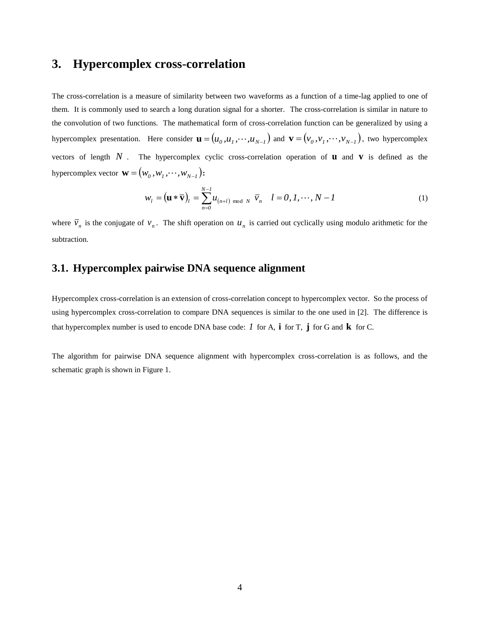## **3. Hypercomplex cross-correlation**

The cross-correlation is a measure of similarity between two [waveforms](http://en.wikipedia.org/wiki/Waveforms) as a function of a time-lag applied to one of them. It is commonly used to search a long duration signal for a shorter. The cross-correlation is similar in nature to the [convolution](http://en.wikipedia.org/wiki/Convolution) of two functions. The mathematical form of cross-correlation function can be generalized by using a hypercomplex presentation. Here consider  $\mathbf{u} = (u_0, u_1, \dots, u_{N-1})$  and  $\mathbf{v} = (v_0, v_1, \dots, v_{N-1})$ , two hypercomplex vectors of length  $N$ . The hypercomplex cyclic cross-correlation operation of **u** and **v** is defined as the hypercomplex vector  $\mathbf{w} = (w_0, w_1, \dots, w_{N-1})$ :

$$
w_l = \left(\mathbf{u} \ast \overline{\mathbf{v}}\right)_l = \sum_{n=0}^{N-1} u_{(n+l) \mod N} \overline{v}_n \quad l = 0, 1, \cdots, N-1
$$
 (1)

where  $\overline{v}_n$  is the conjugate of  $v_n$ . The shift operation on  $u_n$  is carried out cyclically using modulo arithmetic for the subtraction.

### **3.1. Hypercomplex pairwise DNA sequence alignment**

Hypercomplex cross-correlation is an extension of cross-correlation concept to hypercomplex vector. So the process of using hypercomplex cross-correlation to compare DNA sequences is similar to the one used in [2]. The difference is that hypercomplex number is used to encode DNA base code: *1* for A, **i** for T, **j** for G and **k** for C.

The algorithm for pairwise DNA sequence alignment with hypercomplex cross-correlation is as follows, and the schematic graph is shown in Figure 1.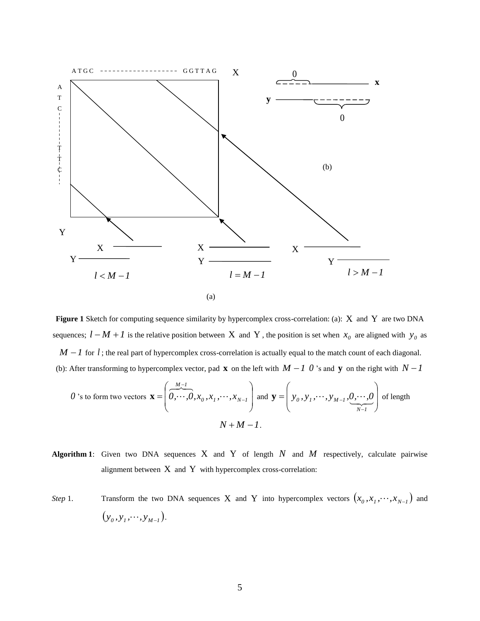

Figure 1 Sketch for computing sequence similarity by hypercomplex cross-correlation: (a):  $X$  and  $Y$  are two DNA sequences;  $l - M + I$  is the relative position between X and Y, the position is set when  $x_0$  are aligned with  $y_0$  as  $M - 1$  for l; the real part of hypercomplex cross-correlation is actually equal to the match count of each diagonal. (b): After transforming to hypercomplex vector, pad **x** on the left with  $M - 1$  0's and **y** on the right with  $N - 1$ 

*O*'s to form two vectors 
$$
\mathbf{x} = \left(\overbrace{0, \cdots, 0}^{M-1}, x_0, x_1, \cdots, x_{N-1}\right)
$$
 and  $\mathbf{y} = \left(y_0, y_1, \cdots, y_{M-1}, \underbrace{0, \cdots, 0}_{N-1}\right)$  of length  
\n
$$
N + M - I.
$$

- **Algorithm 1**: Given two DNA sequences  $X$  and  $Y$  of length  $N$  and  $M$  respectively, calculate pairwise alignment between  $X$  and  $Y$  with hypercomplex cross-correlation:
- *Step* 1. Transform the two DNA sequences X and Y into hypercomplex vectors  $(x_0, x_1, \dots, x_{N-1})$  and  $(y_0, y_1, \dots, y_{M-1}).$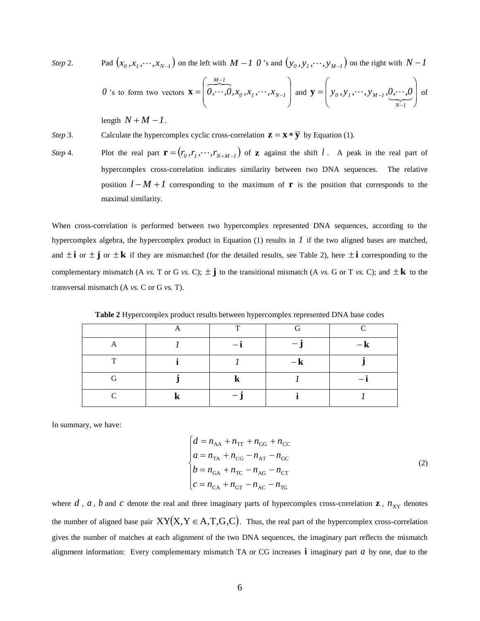*Step* 2.  $(x_0, x_1, \dots, x_{N-1})$  on the left with  $M-1$  0 's and  $(y_0, y_1, \dots, y_{M-1})$  on the right with  $N-1$ 

*0*'s to form two vectors 
$$
\mathbf{x} = \left(\overline{0, \dots, 0}, x_0, x_1, \dots, x_{N-1}\right)
$$
 and  $\mathbf{y} = \left(y_0, y_1, \dots, y_{M-1}, \underbrace{0, \dots, 0}_{N-1}\right)$  of

length  $N + M - 1$ .

*Step* 3. Calculate the hypercomplex cyclic cross-correlation  $\mathbf{z} = \mathbf{x} * \overline{\mathbf{y}}$  by Equation (1).

*Step* 4. Plot the real part  $\mathbf{r} = (r_0, r_1, \dots, r_{N+M-1})$  of **z** against the shift *l*. A peak in the real part of hypercomplex cross-correlation indicates similarity between two DNA sequences. The relative position  $l - M + l$  corresponding to the maximum of **r** is the position that corresponds to the maximal similarity.

When cross-correlation is performed between two hypercomplex represented DNA sequences, according to the hypercomplex algebra, the hypercomplex product in Equation  $(1)$  results in  $I$  if the two aligned bases are matched, and  $\pm i$  or  $\pm j$  or  $\pm k$  if they are mismatched (for the detailed results, see Table 2), here  $\pm i$  corresponding to the complementary mismatch (A *vs.* T or G *vs.* C);  $\pm j$  to the transitional mismatch (A *vs.* G or T *vs.* C); and  $\pm k$  to the transversal mismatch (A *vs.* C or G *vs.* T).

|   | $\mathbf{r}$ | ◠ |  |
|---|--------------|---|--|
| A |              |   |  |
| m |              | A |  |
|   |              |   |  |
|   |              |   |  |

**Table 2** Hypercomplex product results between hypercomplex represented DNA base codes

In summary, we have:

$$
\begin{cases}\nd = n_{AA} + n_{TT} + n_{GG} + n_{CC} \\
a = n_{TA} + n_{CG} - n_{AT} - n_{GC} \\
b = n_{GA} + n_{TC} - n_{AG} - n_{CT} \\
c = n_{CA} + n_{GT} - n_{AC} - n_{TG}\n\end{cases} (2)
$$

where  $d$ ,  $a$ ,  $b$  and  $c$  denote the real and three imaginary parts of hypercomplex cross-correlation  $z$ ,  $n_{XY}$  denotes the number of aligned base pair  $XY(X, Y \in A, T, G, C)$ . Thus, the real part of the hypercomplex cross-correlation gives the number of matches at each alignment of the two DNA sequences, the imaginary part reflects the mismatch alignment information: Every complementary mismatch TA or CG increases **i** imaginary part *a* by one, due to the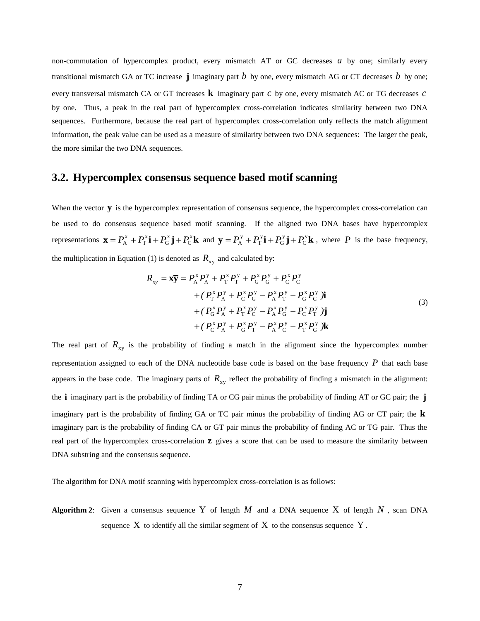non-commutation of hypercomplex product, every mismatch AT or GC decreases *a* by one; similarly every transitional mismatch GA or TC increase  $\mathbf{j}$  imaginary part  $b$  by one, every mismatch AG or CT decreases  $b$  by one; every transversal mismatch CA or GT increases **k** imaginary part *c* by one, every mismatch AC or TG decreases *c* by one. Thus, a peak in the real part of hypercomplex cross-correlation indicates similarity between two DNA sequences. Furthermore, because the real part of hypercomplex cross-correlation only reflects the match alignment information, the peak value can be used as a measure of similarity between two DNA sequences: The larger the peak, the more similar the two DNA sequences.

#### **3.2. Hypercomplex consensus sequence based motif scanning**

When the vector **y** is the hypercomplex representation of consensus sequence, the hypercomplex cross-correlation can be used to do consensus sequence based motif scanning. If the aligned two DNA bases have hypercomplex representations  $\mathbf{x} = P_{A}^{x} + P_{T}^{x} \mathbf{i} + P_{G}^{x} \mathbf{j} + P_{C}^{x} \mathbf{k}$ C x G x T  $P_{\rm A}^{\rm x} + P_{\rm T}^{\rm x}$ **i** +  $P_{\rm G}^{\rm x}$ **j** +  $P_{\rm C}^{\rm x}$ **k** and **y** =  $P_{\rm A}^{\rm y} + P_{\rm T}^{\rm y}$ **i** +  $P_{\rm G}^{\rm y}$ **j** +  $P_{\rm C}^{\rm y}$ **k** C y G y T  $= P_{\rm A}^{\rm y} + P_{\rm T}^{\rm y} \mathbf{i} + P_{\rm G}^{\rm y} \mathbf{j} + P_{\rm C}^{\rm y} \mathbf{k}$ , where *P* is the base frequency, the multiplication in Equation (1) is denoted as  $R_{xy}$  and calculated by:

$$
R_{xy} = \mathbf{x}\overline{\mathbf{y}} = P_{A}^{x} P_{A}^{y} + P_{T}^{x} P_{T}^{y} + P_{G}^{x} P_{G}^{y} + P_{C}^{x} P_{C}^{y}
$$
  
+  $(P_{T}^{x} P_{A}^{y} + P_{C}^{x} P_{G}^{y} - P_{A}^{x} P_{T}^{y} - P_{G}^{x} P_{C}^{y})\mathbf{i}$   
+  $(P_{G}^{x} P_{A}^{y} + P_{T}^{x} P_{C}^{y} - P_{A}^{x} P_{G}^{y} - P_{C}^{x} P_{T}^{y})\mathbf{j}$   
+  $(P_{C}^{x} P_{A}^{y} + P_{G}^{x} P_{T}^{y} - P_{A}^{x} P_{C}^{y} - P_{T}^{x} P_{G}^{y})\mathbf{k}$  (3)

The real part of  $R_{xy}$  is the probability of finding a match in the alignment since the hypercomplex number representation assigned to each of the DNA nucleotide base code is based on the base frequency  $P$  that each base appears in the base code. The imaginary parts of  $R_{xy}$  reflect the probability of finding a mismatch in the alignment: the **i** imaginary part is the probability of finding TA or CG pair minus the probability of finding AT or GC pair; the **j** imaginary part is the probability of finding GA or TC pair minus the probability of finding AG or CT pair; the **k** imaginary part is the probability of finding CA or GT pair minus the probability of finding AC or TG pair. Thus the real part of the hypercomplex cross-correlation **z** gives a score that can be used to measure the similarity between DNA substring and the consensus sequence.

The algorithm for DNA motif scanning with hypercomplex cross-correlation is as follows:

**Algorithm 2**: Given a consensus sequence Y of length  $M$  and a DNA sequence X of length  $N$ , scan DNA sequence  $X$  to identify all the similar segment of  $X$  to the consensus sequence Y.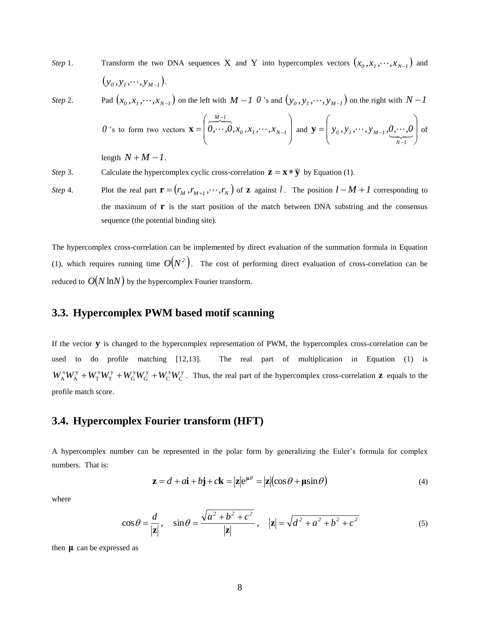*Step* 1. Transform the two DNA sequences X and Y into hypercomplex vectors  $(x_0, x_1, \dots, x_{N-1})$  and  $(y_0, y_1, \dots, y_{M-1}).$ 

Step 2. Pad 
$$
(x_0, x_1, \dots, x_{N-1})
$$
 on the left with  $M-1$  0's and  $(y_0, y_1, \dots, y_{M-1})$  on the right with  $N-1$ 

*0*'s to form two vectors 
$$
\mathbf{x} = \left(\overline{0, \dots, 0}, x_0, x_1, \dots, x_{N-1}\right)
$$
 and  $\mathbf{y} = \left(y_0, y_1, \dots, y_{M-1}, \underbrace{0, \dots, 0}_{N-1}\right)$  of

length  $N + M - 1$ .

#### *Step* 3. Calculate the hypercomplex cyclic cross-correlation  $\mathbf{z} = \mathbf{x} * \overline{\mathbf{y}}$  by Equation (1).

*Step* 4. Plot the real part  $\mathbf{r} = (r_M, r_{M+1}, \dots, r_N)$  of **z** against *l*. The position  $l - M + 1$  corresponding to the maximum of **r** is the start position of the match between DNA substring and the consensus sequence (the potential binding site).

The hypercomplex cross-correlation can be implemented by direct evaluation of the summation formula in Equation (1), which requires running time  $O(N^2)$ . The cost of performing direct evaluation of cross-correlation can be reduced to  $O(N \ln N)$  by the hypercomplex Fourier transform.

### **3.3. Hypercomplex PWM based motif scanning**

If the vector **y** is changed to the hypercomplex representation of PWM, the hypercomplex cross-correlation can be used to do profile matching [12,13]. The real part of multiplication in Equation (1) is y C x C y G x G y T x T y  $W_A^x W_A^y + W_A^x W_Y^y + W_G^x W_G^y + W_C^x W_C^y$ . Thus, the real part of the hypercomplex cross-correlation **z** equals to the profile match score.

#### **3.4. Hypercomplex Fourier transform (HFT)**

A hypercomplex number can be represented in the polar form by generalizing the Euler's formula for complex numbers. That is:

$$
\mathbf{z} = d + a\mathbf{i} + b\mathbf{j} + c\mathbf{k} = |\mathbf{z}|e^{\mu\theta} = |\mathbf{z}|(\cos\theta + \mu\sin\theta)
$$
(4)

where

$$
\cos \theta = \frac{d}{|\mathbf{z}|}, \quad \sin \theta = \frac{\sqrt{a^2 + b^2 + c^2}}{|\mathbf{z}|}, \quad |\mathbf{z}| = \sqrt{d^2 + a^2 + b^2 + c^2}
$$
(5)

then **μ** can be expressed as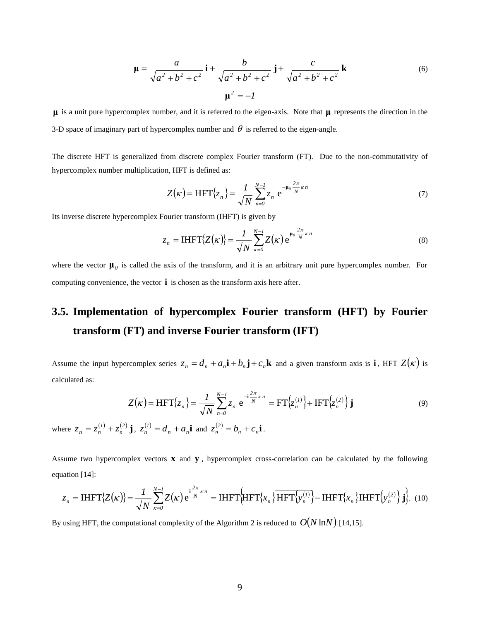$$
\mu = \frac{a}{\sqrt{a^2 + b^2 + c^2}} \mathbf{i} + \frac{b}{\sqrt{a^2 + b^2 + c^2}} \mathbf{j} + \frac{c}{\sqrt{a^2 + b^2 + c^2}} \mathbf{k}
$$
(6)

**μ** is a unit pure hypercomplex number, and it is referred to the eigen-axis. Note that **μ** represents the direction in the 3-D space of imaginary part of hypercomplex number and  $\theta$  is referred to the eigen-angle.

The discrete HFT is generalized from discrete complex Fourier transform (FT). Due to the non-commutativity of hypercomplex number multiplication, HFT is defined as:

$$
Z(\kappa) = \text{HFT}\{z_n\} = \frac{1}{\sqrt{N}} \sum_{n=0}^{N-1} z_n e^{-\mu_0 \frac{2\pi}{N} \kappa n}
$$
(7)

Its inverse discrete hypercomplex Fourier transform (IHFT) is given by

$$
z_n = \text{IHFT}\{Z(\kappa)\} = \frac{1}{\sqrt{N}} \sum_{\kappa=0}^{N-1} Z(\kappa) e^{\mu_0 \frac{2\pi}{N} \kappa n}
$$
(8)

where the vector  $\mu_0$  is called the axis of the transform, and it is an arbitrary unit pure hypercomplex number. For computing convenience, the vector **i** is chosen as the transform axis here after.

# **3.5. Implementation of hypercomplex Fourier transform (HFT) by Fourier transform (FT) and inverse Fourier transform (IFT)**

Assume the input hypercomplex series  $z_n = d_n + a_n \mathbf{i} + b_n \mathbf{j} + c_n \mathbf{k}$  and a given transform axis is **i**, HFT  $Z(\kappa)$  is calculated as:

$$
Z(\kappa) = \text{HFT}\{z_n\} = \frac{1}{\sqrt{N}} \sum_{n=0}^{N-1} z_n \ e^{-i\frac{2\pi}{N}\kappa n} = \text{FT}\{z_n^{(1)}\} + \text{IFT}\{z_n^{(2)}\} \ j \tag{9}
$$

where  $z_n = z_n^{(1)} + z_n^{(2)}$  **j** *n 1*  $z_n = z_n^{(1)} + z_n^{(2)}$  **j**,  $z_n^{(1)} = d_n + a_n$ **i**  $z_n^{(1)} = d_n + a_n$ **i** and  $z_n^{(2)} = b_n + c_n$ **i** *2*  $z_n^{(2)} = b_n + c_n$ **i**.

Assume two hypercomplex vectors **x** and **y** , hypercomplex cross-correlation can be calculated by the following equation [14]:

$$
z_n = \text{IHFT}\lbrace Z(\kappa)\rbrace = \frac{1}{\sqrt{N}} \sum_{\kappa=0}^{N-1} Z(\kappa) e^{i\frac{2\pi}{N}\kappa n} = \text{IHFT}\lbrace \text{HFT}\lbrace x_n \rbrace \overline{\text{HFT}}\lbrace y_n^{(1)} \rbrace - \text{IHFT}\lbrace x_n \rbrace \text{IHFT}\lbrace y_n^{(2)} \rbrace \mathbf{j} \rbrace. \tag{10}
$$

By using HFT, the computational complexity of the Algorithm 2 is reduced to  $O(N \ln N)$  [14,15].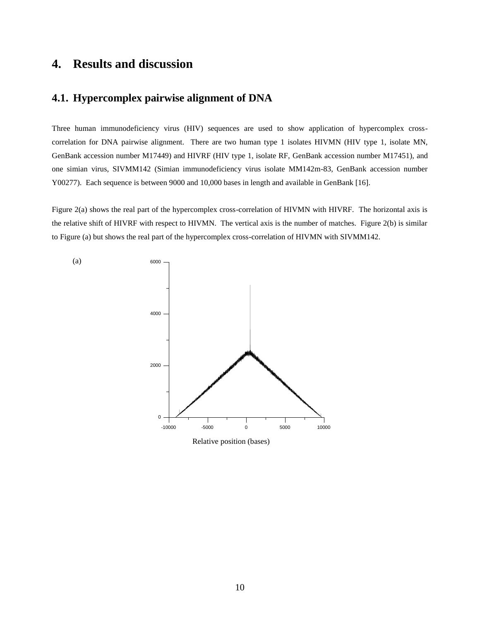## **4. Results and discussion**

#### **4.1. Hypercomplex pairwise alignment of DNA**

Three human immunodeficiency virus (HIV) sequences are used to show application of hypercomplex crosscorrelation for DNA pairwise alignment. There are two human type 1 isolates HIVMN (HIV type 1, isolate MN, [GenBank](http://apps.isiknowledge.com.ezlibproxy1.ntu.edu.sg/full_record.do?product=WOS&search_mode=GeneralSearch&qid=3&SID=P2j9Jj12D8mi26HCceE&page=1&doc=1) accession number M17449) and HIVRF (HIV type 1, isolate RF, [GenBank](http://apps.isiknowledge.com.ezlibproxy1.ntu.edu.sg/full_record.do?product=WOS&search_mode=GeneralSearch&qid=3&SID=P2j9Jj12D8mi26HCceE&page=1&doc=1) accession number M17451), and one simian virus, SIVMM142 (Simian immunodeficiency virus isolate MM142m-83, [GenBank](http://apps.isiknowledge.com.ezlibproxy1.ntu.edu.sg/full_record.do?product=WOS&search_mode=GeneralSearch&qid=3&SID=P2j9Jj12D8mi26HCceE&page=1&doc=1) accession number Y00277). Each sequence is between 9000 and 10,000 bases in length and available in [GenBank](http://apps.isiknowledge.com.ezlibproxy1.ntu.edu.sg/full_record.do?product=WOS&search_mode=GeneralSearch&qid=3&SID=P2j9Jj12D8mi26HCceE&page=1&doc=1) [16].

Figure 2(a) shows the real part of the hypercomplex cross-correlation of HIVMN with HIVRF. The horizontal axis is the relative shift of HIVRF with respect to HIVMN. The vertical axis is the number of matches. Figure 2(b) is similar to Figure (a) but shows the real part of the hypercomplex cross-correlation of HIVMN with SIVMM142.

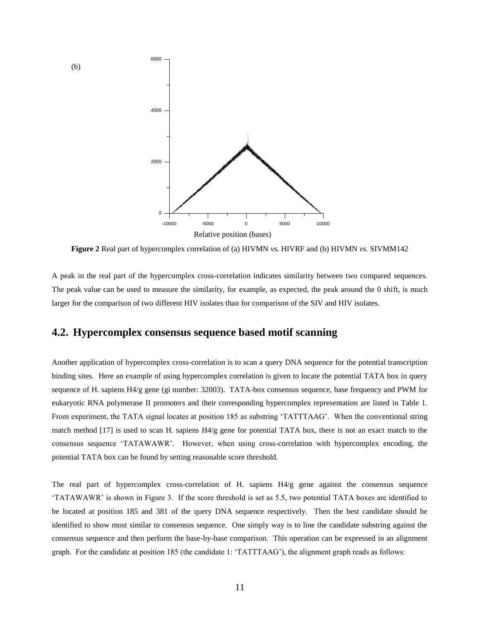

**Figure 2** Real part of hypercomplex correlation of (a) HIVMN *vs.* HIVRF and (b) HIVMN *vs.* SIVMM142

A peak in the real part of the hypercomplex cross-correlation indicates similarity between two compared sequences. The peak value can be used to measure the similarity, for example, as expected, the peak around the 0 shift, is much larger for the comparison of two different HIV isolates than for comparison of the SIV and HIV isolates.

#### **4.2. Hypercomplex consensus sequence based motif scanning**

Another application of hypercomplex cross-correlation is to scan a query DNA sequence for the potential transcription binding sites. Here an example of using hypercomplex correlation is given to locate the potential TATA box in query sequence of H. sapiens H4/g gene (gi number: 32003). TATA-box consensus sequence, base frequency and PWM for eukaryotic RNA polymerase II promoters and their corresponding hypercomplex representation are listed in Table 1. From experiment, the TATA signal locates at position 185 as substring 'TATTTAAG'. When the conventional string match method [17] is used to scan H. sapiens H4/g gene for potential TATA box, there is not an exact match to the consensus sequence 'TATAWAWR'. However, when using cross-correlation with hypercomplex encoding, the potential TATA box can be found by setting reasonable score threshold.

The real part of hypercomplex cross-correlation of H. sapiens H4/g gene against the consensus sequence 'TATAWAWR' is shown in Figure 3. If the score threshold is set as 5.5, two potential TATA boxes are identified to be located at position 185 and 381 of the query DNA sequence respectively. Then the best candidate should be identified to show most similar to consensus sequence. One simply way is to line the candidate substring against the consensus sequence and then perform the base-by-base comparison. This operation can be expressed in an alignment graph. For the candidate at position 185 (the candidate 1: 'TATTTAAG'), the alignment graph reads as follows: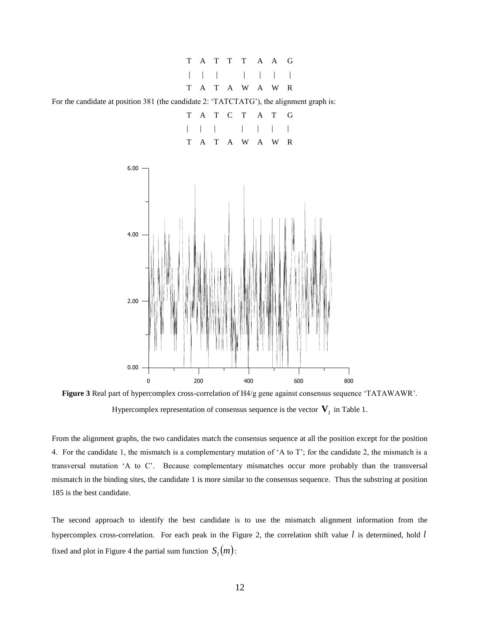|  |  |  | T A T T T A A G     |  |
|--|--|--|---------------------|--|
|  |  |  | 1 1 1 1 1 1 1 1 1 1 |  |
|  |  |  | T A T A W A W R     |  |

For the candidate at position 381 (the candidate 2: 'TATCTATG'), the alignment graph is:

|  |  | TATCTATG        |  |  |
|--|--|-----------------|--|--|
|  |  |                 |  |  |
|  |  | T A T A W A W R |  |  |



**Figure 3** Real part of hypercomplex cross-correlation of H4/g gene against consensus sequence 'TATAWAWR'. Hypercomplex representation of consensus sequence is the vector  $\mathbf{V}_I$  in Table 1.

From the alignment graphs, the two candidates match the consensus sequence at all the position except for the position 4. For the candidate 1, the mismatch is a complementary mutation of 'A to T'; for the candidate 2, the mismatch is a transversal mutation 'A to C'. Because complementary mismatches occur more probably than the transversal mismatch in the binding sites, the candidate 1 is more similar to the consensus sequence. Thus the substring at position 185 is the best candidate.

The second approach to identify the best candidate is to use the mismatch alignment information from the hypercomplex cross-correlation. For each peak in the Figure 2, the correlation shift value *l* is determined, hold *l* fixed and plot in Figure 4 the partial sum function  $S_l(m)$ :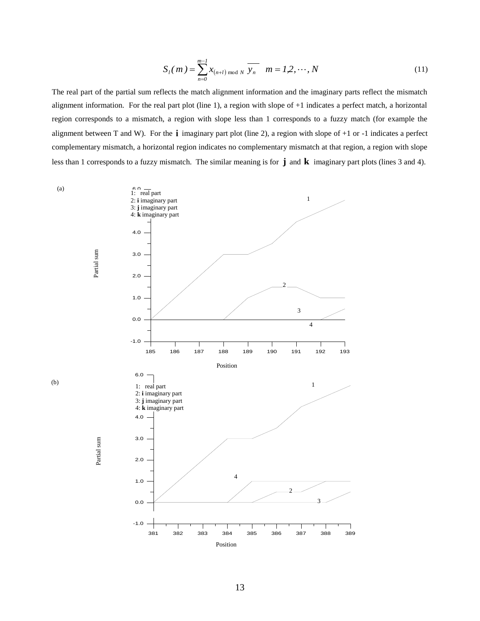$$
S_{l}(m) = \sum_{n=0}^{m-l} x_{(n+l) \bmod N} \overline{y_{n}} \quad m = 1, 2, \cdots, N
$$
 (11)

The real part of the partial sum reflects the match alignment information and the imaginary parts reflect the mismatch alignment information. For the real part plot (line 1), a region with slope of +1 indicates a perfect match, a horizontal region corresponds to a mismatch, a region with slope less than 1 corresponds to a fuzzy match (for example the alignment between T and W). For the **i** imaginary part plot (line 2), a region with slope of +1 or -1 indicates a perfect complementary mismatch, a horizontal region indicates no complementary mismatch at that region, a region with slope less than 1 corresponds to a fuzzy mismatch. The similar meaning is for **j** and **k** imaginary part plots (lines 3 and 4).

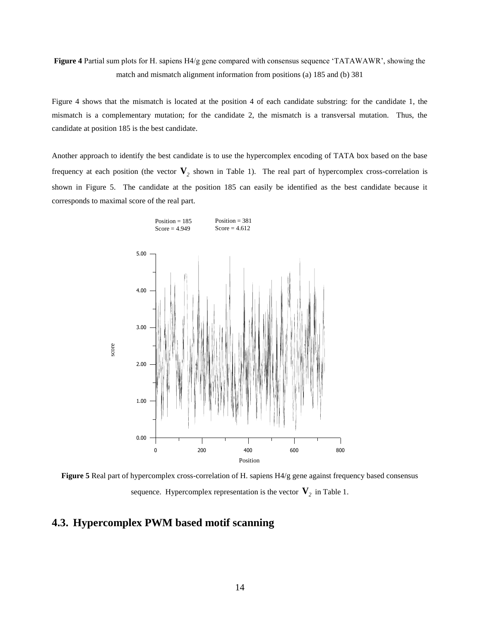#### **Figure 4** Partial sum plots for H. sapiens H4/g gene compared with consensus sequence 'TATAWAWR', showing the match and mismatch alignment information from positions (a) 185 and (b) 381

Figure 4 shows that the mismatch is located at the position 4 of each candidate substring: for the candidate 1, the mismatch is a complementary mutation; for the candidate 2, the mismatch is a transversal mutation. Thus, the candidate at position 185 is the best candidate.

Another approach to identify the best candidate is to use the hypercomplex encoding of TATA box based on the base frequency at each position (the vector  $V_2$  shown in Table 1). The real part of hypercomplex cross-correlation is shown in Figure 5. The candidate at the position 185 can easily be identified as the best candidate because it corresponds to maximal score of the real part.



**Figure 5** Real part of hypercomplex cross-correlation of H. sapiens H4/g gene against frequency based consensus sequence. Hypercomplex representation is the vector  $\mathbf{V}_2$  in Table 1.

### **4.3. Hypercomplex PWM based motif scanning**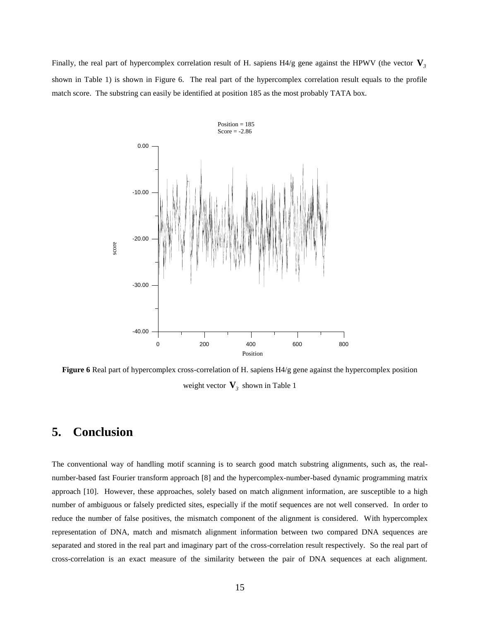Finally, the real part of hypercomplex correlation result of H. sapiens H4/g gene against the HPWV (the vector  $\mathbf{V}_3$ shown in Table 1) is shown in Figure 6. The real part of the hypercomplex correlation result equals to the profile match score. The substring can easily be identified at position 185 as the most probably TATA box.



**Figure 6** Real part of hypercomplex cross-correlation of H. sapiens H4/g gene against the hypercomplex position weight vector  $\mathbf{V}_3$  shown in Table 1

## **5. Conclusion**

The conventional way of handling motif scanning is to search good match substring alignments, such as, the realnumber-based fast Fourier transform approach [8] and the hypercomplex-number-based dynamic programming matrix approach [10]. However, these approaches, solely based on match alignment information, are susceptible to a high number of ambiguous or falsely predicted sites, especially if the motif sequences are not well conserved. In order to reduce the number of false positives, the mismatch component of the alignment is considered. With hypercomplex representation of DNA, match and mismatch alignment information between two compared DNA sequences are separated and stored in the real part and imaginary part of the cross-correlation result respectively. So the real part of cross-correlation is an exact measure of the similarity between the pair of DNA sequences at each alignment.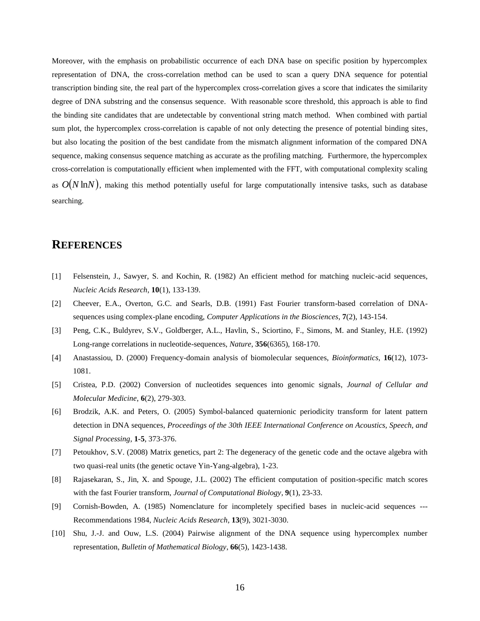Moreover, with the emphasis on probabilistic occurrence of each DNA base on specific position by hypercomplex representation of DNA, the cross-correlation method can be used to scan a query DNA sequence for potential transcription binding site, the real part of the hypercomplex cross-correlation gives a score that indicates the similarity degree of DNA substring and the consensus sequence. With reasonable score threshold, this approach is able to find the binding site candidates that are undetectable by conventional string match method. When combined with partial sum plot, the hypercomplex cross-correlation is capable of not only detecting the presence of potential binding sites, but also locating the position of the best candidate from the mismatch alignment information of the compared DNA sequence, making consensus sequence matching as accurate as the profiling matching. Furthermore, the hypercomplex cross-correlation is computationally efficient when implemented with the FFT, with computational complexity scaling as  $O(N \ln N)$ , making this method potentially useful for large computationally intensive tasks, such as database searching.

#### **REFERENCES**

- [1] Felsenstein, J., Sawyer, S. and Kochin, R. (1982) An efficient method for matching nucleic-acid sequences, *Nucleic Acids Research*, **10**(1), 133-139.
- [2] Cheever, E.A., Overton, G.C. and Searls, D.B. (1991) Fast Fourier transform-based correlation of DNAsequences using complex-plane encoding, *Computer Applications in the Biosciences*, **7**(2), 143-154.
- [3] Peng, C.K., Buldyrev, S.V., Goldberger, A.L., Havlin, S., Sciortino, F., Simons, M. and Stanley, H.E. (1992) Long-range correlations in nucleotide-sequences, *Nature*, **356**(6365), 168-170.
- [4] Anastassiou, D. (2000) Frequency-domain analysis of biomolecular sequences, *Bioinformatics*, **16**(12), 1073- 1081.
- [5] Cristea, P.D. (2002) [Conversion of nucleotides sequences into genomic signals,](http://apps.isiknowledge.com.ezlibproxy1.ntu.edu.sg/full_record.do?product=WOS&search_mode=GeneralSearch&qid=8&SID=S1ahCLnNI62MkGDGpJD&page=1&doc=5) *Journal of Cellular and Molecular Medicine*, **6**(2), 279-303.
- [6] Brodzik, A.K. and Peters, O. (2005) [Symbol-balanced quaternionic periodicity transform for latent pattern](http://apps.isiknowledge.com.ezlibproxy1.ntu.edu.sg/full_record.do?product=WOS&search_mode=GeneralSearch&qid=6&SID=S1ahCLnNI62MkGDGpJD&page=1&doc=1)  [detection in DNA sequences,](http://apps.isiknowledge.com.ezlibproxy1.ntu.edu.sg/full_record.do?product=WOS&search_mode=GeneralSearch&qid=6&SID=S1ahCLnNI62MkGDGpJD&page=1&doc=1) *Proceedings of the 30th IEEE International Conference on Acoustics, Speech, and Signal Processing*, **1-5**, 373-376.
- [7] Petoukhov, S.V. (2008) Matrix genetics, part 2: The degeneracy of the genetic code and the octave algebra with two quasi-real units (the genetic octave Yin-Yang-algebra), 1-23.
- [8] Rajasekaran, S., Jin, X. and Spouge, J.L. (2002) The efficient computation of position-specific match scores with the fast Fourier transform, *Journal of Computational Biology*, **9**(1), 23-33.
- [9] Cornish-Bowden, A. (1985) Nomenclature for incompletely specified bases in nucleic-acid sequences --- Recommendations 1984, *Nucleic Acids Research*, **13**(9), 3021-3030.
- [10] Shu, J.-J. and Ouw, L.S. (2004) [Pairwise alignment of the DNA sequence using hypercomplex number](http://www.ntu.edu.sg/home/mjjshu/BMB04.pdf)  [representation,](http://www.ntu.edu.sg/home/mjjshu/BMB04.pdf) *Bulletin of Mathematical Biology*, **66**(5), 1423-1438.